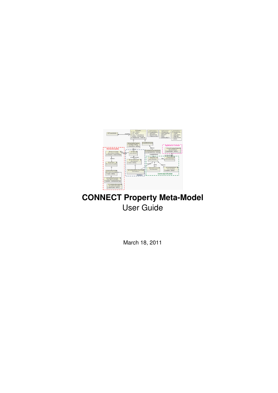

### **CONNECT Property Meta-Model** User Guide

March 18, 2011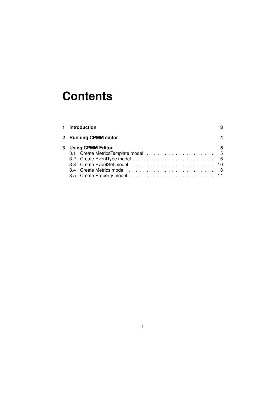# **Contents**

|  | 1 Introduction        |   |
|--|-----------------------|---|
|  | 2 Running CPMM editor |   |
|  | 3 Using CPMM Editor   | 5 |
|  |                       |   |
|  |                       |   |
|  |                       |   |
|  |                       |   |
|  |                       |   |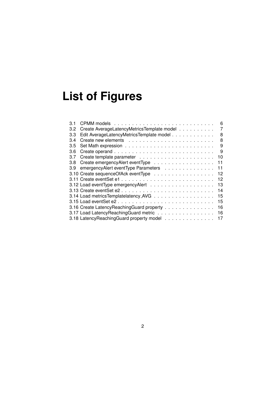# **List of Figures**

| 3.1 | 6                                                 |
|-----|---------------------------------------------------|
| 3.2 | Create AverageLatencyMetricsTemplate model<br>7   |
| 3.3 | Edit AverageLatencyMetricsTemplate model<br>8     |
| 3.4 | 8                                                 |
| 3.5 | 9                                                 |
| 3.6 | 9                                                 |
| 3.7 | 10                                                |
| 3.8 | Create emergencyAlert eventType<br>11             |
| 3.9 | emergencyAlert eventType Parameters<br>11         |
|     | 3.10 Create sequence Of Ack event Type<br>12      |
|     | 12                                                |
|     | 13                                                |
|     | 14                                                |
|     | 3.14 Load metrics Templatelatency_AVG<br>15       |
|     | 15                                                |
|     | 3.16 Create Latency Reaching Guard property<br>16 |
|     | 3.17 Load Latency Reaching Guard metric<br>16     |
|     | 3.18 Latency Reaching Guard property model<br>17  |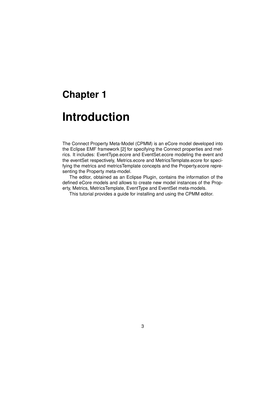### **Chapter 1**

## **Introduction**

The Connect Property Meta-Model (CPMM) is an eCore model developed into the Eclipse EMF framework [2] for specifying the Connect properties and metrics. It includes: EventType.ecore and EventSet.ecore modeling the event and the eventSet respectively, Metrics.ecore and MetricsTemplate.ecore for specifying the metrics and metricsTemplate concepts and the Property.ecore representing the Property meta-model.

The editor, obtained as an Eclipse Plugin, contains the information of the defined eCore models and allows to create new model instances of the Property, Metrics, MetricsTemplate, EventType and EventSet meta-models.

This tutorial provides a guide for installing and using the CPMM editor.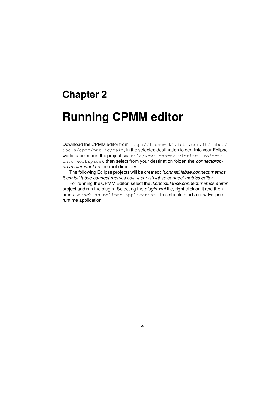### **Chapter 2**

## **Running CPMM editor**

Download the CPMM editor from http://labsewiki.isti.cnr.it/labse/ tools/cpmm/public/main, in the selected destination folder. Into your Eclipse workspace import the project (via File/New/Import/Existing Projects into Workspace), then select from your destination folder, the *connectpropertymetamodel* as the root directory.

The following Eclipse projects will be created: *it.cnr.isti.labse.connect.metrics*, *it.cnr.isti.labse.connect.metrics.edit*, *it.cnr.isti.labse.connect.metrics.editor*.

For running the CPMM Editor, select the *it.cnr.isti.labse.connect.metrics.editor* project and run the plugin. Selecting the *plugin.xml* file, right click on it and then press Launch as Eclipse application. This should start a new Eclipse runtime application.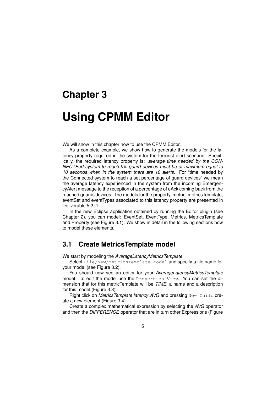### **Chapter 3**

### **Using CPMM Editor**

We will show in this chapter how to use the CPMM Editor.

As a complete example, we show how to generate the models for the latency property required in the system for the terrorist alert scenario. Specifically, the required latency property is: *average time needed by the CON-NECTEed system to reach k% guard devices must be at maximum equal to 10 seconds when in the system there are 10 alerts*. For "time needed by the Connected system to reach a set percentage of guard devices" we mean the average latency experienced in the system from the incoming EmergencyAlert message to the reception of a percentage of eAck coming back from the reached guards'devices. The models for the property, metric, metricsTemplate, eventSet and eventTypes associated to this latency property are presented in Deliverable 5.2 [1].

In the new Eclipse application obtained by running the Editor plugin (see Chapter 2), you can model: EventSet, EventType, Metrics, MetricsTemplate and Property (see Figure 3.1). We show in detail in the following sections how to model these elements.

#### **3.1 Create MetricsTemplate model**

We start by modeling the *AverageLatencyMetricsTemplate*.

Select File/New/MetricsTemplate Model and specify a file name for your model (see Figure 3.2).

You should now see an editor for your *AverageLatencyMetricsTemplate* model. To edit the model use the Properties View. You can set the dimension that for this metricTemplate will be *TIME*, a name and a description for this model (Figure 3.3).

Right click on *MetricsTemplate latency AVG* and pressing New Child create a new element (Figure 3.4).

Create a complex mathematical expression by selecting the *AVG* operator and then the *DIFFERENCE* operator that are in turn other Expressions (Figure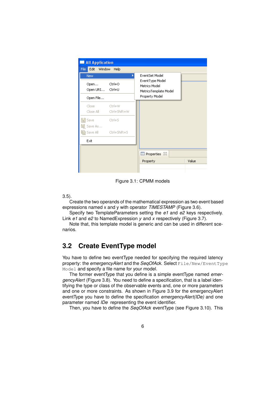

Figure 3.1: CPMM models

3.5).

Create the two operands of the mathematical expression as two event based expressions named x and y with operator *TIMESTAMP* (Figure 3.6).

Specify two TemplateParameters setting the *e1* and *e2* keys respectively. Link *e1* and *e2* to NamedExpression *y* and *x* respectively (Figure 3.7).

Note that, this template model is generic and can be used in different scenarios.

#### **3.2 Create EventType model**

You have to define two eventType needed for specifying the required latency property: the *emergencyAlert* and the *SeqOfAck*. Select File/New/EventType Model and specify a file name for your model.

The former eventType that you define is a simple eventType named *emergencyAlert* (Figure 3.8). You need to define a specification, that is a label identifying the type or class of the observable events and, one or more parameters and one or more constraints. As shown in Figure 3.9 for the emergencyAlert eventType you have to define the specification *emergencyAlert(IDe)* and one parameter named *IDe* representing the event identifier.

Then, you have to define the *SeqOfAck* eventType (see Figure 3.10). This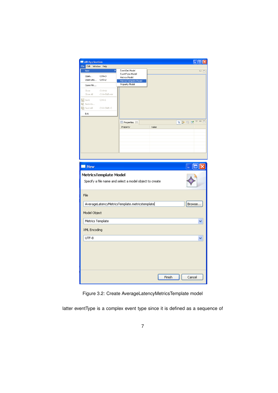| All Application                              |                                                         | $\Box$ o $\mathsf{K}$                                              |
|----------------------------------------------|---------------------------------------------------------|--------------------------------------------------------------------|
| File Edit Window Help                        |                                                         |                                                                    |
| New                                          | EventSet Model<br>EventType Model                       | - 8                                                                |
| Ctrl+O<br>Open                               | Metrics Model                                           |                                                                    |
| Open URI<br>Ctrl+U                           | MetricsTemplate Model<br>Property Model                 |                                                                    |
| Open File                                    |                                                         |                                                                    |
| Ctrl+W<br>Close<br>Close All<br>Ctrl+Shift+W |                                                         |                                                                    |
| 딜 Save<br>$Ctrl + S$                         |                                                         |                                                                    |
| 뎚 Save As                                    |                                                         |                                                                    |
| <b>偏</b> Save All<br>Ctrl+Shift+5            |                                                         |                                                                    |
| Exit                                         |                                                         |                                                                    |
|                                              | Properties &                                            | $\mathop{\triangleright} \; \mathop{=}\; \mathop{\boxdot}$<br>日常国内 |
|                                              | Property                                                | Value                                                              |
|                                              |                                                         |                                                                    |
|                                              |                                                         |                                                                    |
|                                              |                                                         |                                                                    |
|                                              |                                                         |                                                                    |
|                                              |                                                         |                                                                    |
|                                              |                                                         |                                                                    |
| New                                          |                                                         |                                                                    |
| MetricsTemplate Model                        | Specify a file name and select a model object to create |                                                                    |
| File                                         |                                                         |                                                                    |
|                                              | AverageLatencyMetricsTemplate.metricstemplate           | Browse                                                             |
| Model Object                                 |                                                         |                                                                    |
| Metrics Template                             |                                                         |                                                                    |
| XML Encoding                                 |                                                         |                                                                    |
| UTF-8                                        |                                                         |                                                                    |
|                                              |                                                         |                                                                    |
|                                              |                                                         |                                                                    |
|                                              |                                                         |                                                                    |
|                                              |                                                         |                                                                    |
|                                              |                                                         |                                                                    |
|                                              |                                                         |                                                                    |
|                                              |                                                         | Finish<br>Cancel                                                   |
|                                              |                                                         |                                                                    |

Figure 3.2: Create AverageLatencyMetricsTemplate model

latter eventType is a complex event type since it is defined as a sequence of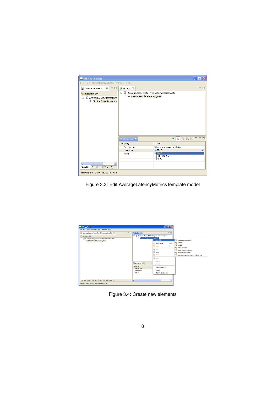| <b>All Application</b>                                     |                                                                                    |                              |  |  |  |  |
|------------------------------------------------------------|------------------------------------------------------------------------------------|------------------------------|--|--|--|--|
| Edit MetricsTemplate Editor Window Help<br>File            |                                                                                    |                              |  |  |  |  |
| *AverageLatency $\boxtimes \square$<br>R.                  | $E$ Outline $23$                                                                   | $=$ $F$                      |  |  |  |  |
| ħ<br>Resource Set                                          | Ξ<br>AverageLatencyMetricsTemplate.metricstemplate<br>Metrics Template latency AVG |                              |  |  |  |  |
| AverageLatencyMetricsTemp<br>Ξ<br>Metrics Template latency |                                                                                    |                              |  |  |  |  |
|                                                            | <b>Fille</b> Properties X                                                          | ■ 日本 国 国 マ コロ                |  |  |  |  |
|                                                            | Property                                                                           | Value                        |  |  |  |  |
|                                                            | Description                                                                        | average expected delay       |  |  |  |  |
|                                                            | <b>Dimension</b>                                                                   | <b>LE TIME</b>               |  |  |  |  |
|                                                            | Name                                                                               | <b>EE TIME</b><br>PERCENTAGE |  |  |  |  |
|                                                            |                                                                                    | REAL                         |  |  |  |  |
| $\left\langle \right\rangle$<br><b>TITT</b><br>×           |                                                                                    |                              |  |  |  |  |
| Selection Parent List Tree >>>>                            |                                                                                    |                              |  |  |  |  |
| The Dimension of the Metrics Template                      |                                                                                    |                              |  |  |  |  |

Figure 3.3: Edit AverageLatencyMetricsTemplate model

| File Edit MetricsTemplate Editor Window Help<br>*AverageLatencyMetricsTemplate.metricstemplate 22    | $=$<br><b>BE</b> Outline 23                                           |                                                                               |                                                                         | $=$ $\Box$                                                                                                                                                                                                                                                                                                                          |  |
|------------------------------------------------------------------------------------------------------|-----------------------------------------------------------------------|-------------------------------------------------------------------------------|-------------------------------------------------------------------------|-------------------------------------------------------------------------------------------------------------------------------------------------------------------------------------------------------------------------------------------------------------------------------------------------------------------------------------|--|
| Resource Set<br>Ξ<br>AverageLatencyMetricsTemplate.metricstemplate<br>← Metrics Template latency_AVG | в                                                                     | AverageLatencyMetricsTemplate.metricstemplate<br>Metrics Template latency_AVG |                                                                         | New Child<br>** Event Based Expression<br><sup>42</sup> Constant<br>Undo Delete<br>$Ctrl+Z$<br>** Variable<br><b>C</b> Redo<br>$ChH+V$<br>** Math Expression<br>of O.R<br>** Action Based Expression<br>Copy<br><sup>4</sup> 2 Quankitative Property<br>商 Paste<br><sup>42</sup> EString To Named Expression Object Map<br>X Delete |  |
|                                                                                                      | <b>Properties 23</b><br>Property.<br>Description<br>Dimension<br>Name |                                                                               | Validate<br>Control<br>Load Resource<br>Refresh<br>Show Properties View |                                                                                                                                                                                                                                                                                                                                     |  |
| Selection Parent List Tree Table Tree with Columns                                                   | $\leq$                                                                | $\overline{\mathbf{m}}$                                                       |                                                                         | $\rightarrow$                                                                                                                                                                                                                                                                                                                       |  |

Figure 3.4: Create new elements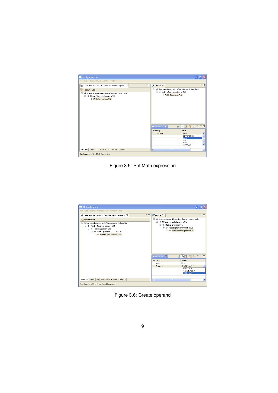| <b>All Application</b>                                                                                                      |                                                                 |  |
|-----------------------------------------------------------------------------------------------------------------------------|-----------------------------------------------------------------|--|
| Edit MetricsTemplate Editor Window Help<br>File                                                                             |                                                                 |  |
| □ 日<br>Đ<br>*AverageLatencyMetricsTemplate.metricstemplate 23                                                               | □ 日<br>$E$ Outline $23$                                         |  |
| ╔<br>Resource Set                                                                                                           | AverageLatencyMetricsTemplate.metricstemplate<br>$\blacksquare$ |  |
| AverageLatencyMetricsTemplate.metricstemplate<br>Ξ<br><b>E</b> . $\div$ Metrics Template latency_AVG<br>Math Expression AVG | E + Metrics Template latency_AVG<br>← Math Expression AVG       |  |
|                                                                                                                             | ■ 日中東陽 2000<br><b>E</b> Properties X                            |  |
|                                                                                                                             | Value<br>Property                                               |  |
|                                                                                                                             | <b>LE AVG</b><br>Operator<br>$\checkmark$<br><b>DIFFERENCE</b>  |  |
|                                                                                                                             | ×<br><b>AVG</b>                                                 |  |
|                                                                                                                             | IMIN<br><b>MAX</b>                                              |  |
|                                                                                                                             | v<br>PRODUCT                                                    |  |
| Selection Parent List Tree Table Tree with Columns                                                                          | $\,$<br>$\overline{\mathbf{C}}$<br>mm.                          |  |
| The Operator of the Math Expression                                                                                         |                                                                 |  |

Figure 3.5: Set Math expression

| Edit MetricsTemplate Editor Window Help<br>File                                                                                                                                                                                                       |                        |                                                                                                                                                                                              |  |
|-------------------------------------------------------------------------------------------------------------------------------------------------------------------------------------------------------------------------------------------------------|------------------------|----------------------------------------------------------------------------------------------------------------------------------------------------------------------------------------------|--|
| Đ<br>*AverageLatencyMetricsTemplate.metricstemplate 23                                                                                                                                                                                                | 一日<br>$E$ Outline $23$ | 一日                                                                                                                                                                                           |  |
| Resource Set<br>A AverageLatencyMetricsTemplate.metricstemplate<br>Ξ<br>E ++ Metrics Template latency_AVG<br><b>E</b> $\rightarrow$ Math Expression AVG<br><b>E- ← Math Expression DIFFERENCE</b><br>$\leftarrow \leftarrow$ Event Based Expression x | $\blacksquare$         | A AverageLatencyMetricsTemplate.metricstemplate<br>E + Metrics Template latency_AVG<br><b>E- ← Math Expression AVG</b><br><b>E- ← Math Expression DIFFERENCE</b><br>Event Based Expression x |  |
|                                                                                                                                                                                                                                                       |                        |                                                                                                                                                                                              |  |
|                                                                                                                                                                                                                                                       | Properties X           |                                                                                                                                                                                              |  |
|                                                                                                                                                                                                                                                       | Property               | d 日本国际▽□□<br>Value                                                                                                                                                                           |  |
|                                                                                                                                                                                                                                                       | Name                   | $\mathbb{I} \equiv \mathbb{Y}$                                                                                                                                                               |  |
|                                                                                                                                                                                                                                                       | Operator               | <b>LE TIMESTAMP</b><br>$\checkmark$<br><b>DURATION</b><br>CARDINALITY<br><b>TIMESTAMP</b>                                                                                                    |  |

Figure 3.6: Create operand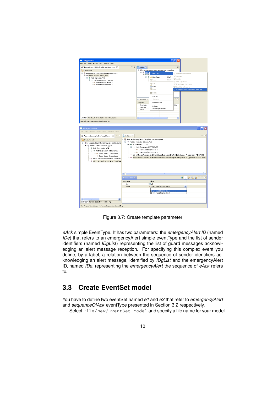

Figure 3.7: Create template parameter

*eAck* simple EventType. It has two parameters: the *emergencyAlert ID* (named *IDe*) that refers to an emergencyAlert simple eventType and the list of sender identifiers (named *IDgList*) representing the list of guard messages acknowledging an alert message reception. For specifying this complex event you define, by a label, a relation between the sequence of sender identifiers acknowledging an alert message, identified by *IDgList* and the emergencyAlert ID, named *IDe*, representing the *emergencyAlert* the sequence of *eAck* refers to.

#### **3.3 Create EventSet model**

You have to define two eventSet named *e1* and *e2* that refer to *emergencyAlert* and *sequenceOfAck* eventType presented in Section 3.2 respectively.

Select File/New/EventSet Model and specify a file name for your model.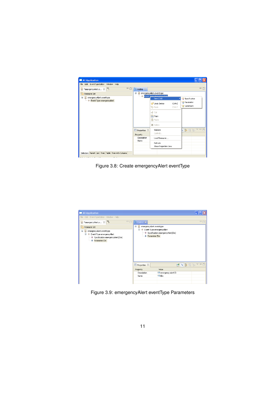| All Application                                    |                      |                                                      |                                           |
|----------------------------------------------------|----------------------|------------------------------------------------------|-------------------------------------------|
| File Edit EventType Editor Window Help             |                      |                                                      |                                           |
| $=$ $E$<br>*emergencyAlert.e 23                    | <b>RE</b> Outline 23 |                                                      | $=$ $F$                                   |
| Resource Set                                       | $\equiv$             | emergencyAlert.eventtype<br>Event Tung amazancunlavt |                                           |
| emergencyAlert.eventtype<br>Θ                      |                      | New Child                                            | Specification                             |
| Event Type emergency Alert                         |                      | Undo Delete<br>Ctrl+Z<br>Redo<br>$Ctrl+Y$            | <b>2</b> Parameter<br><b>☆ Constraint</b> |
|                                                    |                      | of Cut<br><b>Copy</b>                                |                                           |
|                                                    |                      | <b>高 Paste</b><br>X Delete                           |                                           |
|                                                    | Properties 23        | Validate                                             | 1 ∌ ⊠ 13 ▽ □ □                            |
|                                                    | Property             | Control                                              |                                           |
|                                                    | Description<br>Name  | Load Resource                                        |                                           |
|                                                    |                      | Refresh<br>Show Properties View                      |                                           |
| Selection Parent List Tree Table Tree with Columns |                      |                                                      |                                           |

Figure 3.8: Create emergencyAlert eventType

| All Application                                                                                                       |    |                                                                                                                                      |                                |  |  |
|-----------------------------------------------------------------------------------------------------------------------|----|--------------------------------------------------------------------------------------------------------------------------------------|--------------------------------|--|--|
| File Edit EventType Editor Window Help                                                                                |    |                                                                                                                                      |                                |  |  |
| *emergencyAlert.e 23                                                                                                  | 中日 | 距 outline ×                                                                                                                          | $=$ $F$                        |  |  |
| Resource Set<br>Ξ<br>emergencyAlert.eventtype<br>E + Event Type emergencyAlert<br>→ Specification emergencyAlert(IDe) |    | emergencyAlert.eventtype<br>Ξ<br><b>E</b> $\div$ Event Type emergencyAlert<br>← Specification emergencyAlert(IDe)<br>♦ Parameter IDe |                                |  |  |
|                                                                                                                       |    |                                                                                                                                      | Parameter IDe                  |  |  |
|                                                                                                                       |    | Properties &                                                                                                                         |                                |  |  |
|                                                                                                                       |    | Property                                                                                                                             | Value                          |  |  |
|                                                                                                                       |    | Description                                                                                                                          | E emergency alert ID           |  |  |
|                                                                                                                       |    | Name                                                                                                                                 | $\mathbb{I} \equiv \text{IDe}$ |  |  |
|                                                                                                                       |    |                                                                                                                                      |                                |  |  |

Figure 3.9: emergencyAlert eventType Parameters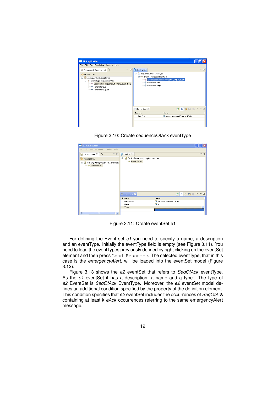| All Application                                                                                                                                                                                    |                                                                                                               |                                               |
|----------------------------------------------------------------------------------------------------------------------------------------------------------------------------------------------------|---------------------------------------------------------------------------------------------------------------|-----------------------------------------------|
| File Edit EventType Editor Window Help                                                                                                                                                             |                                                                                                               |                                               |
| - 8<br>*sequenceOfAck.ev 23                                                                                                                                                                        | RE Outline 23                                                                                                 | $=$ $F$                                       |
| Բ<br>Resource Set<br>sequenceOfAck.eventtype<br>Θ<br><b>E</b> $\div$ Event Type sequenceOfAck<br>Specification sequenceOf(eAck(IDqList,IDe))<br>$\rightarrow$ Parameter IDe<br>└ Parameter IDgList | Ξ<br>sequenceOfAck.eventtype<br>E + Event Type sequenceOfAck<br><b>+</b> Parameter IDe<br>← Parameter IDqList | ◆ Specification sequenceOf(eAck(IDgList,IDe)) |
|                                                                                                                                                                                                    | $\blacksquare$<br>Properties 23                                                                               | d日第國聯▽甲                                       |
|                                                                                                                                                                                                    | Property                                                                                                      | Value                                         |
|                                                                                                                                                                                                    | Specification                                                                                                 | sequenceOf(eAck(IDgList,IDe))                 |

Figure 3.10: Create sequenceOfAck eventType

| $\ .\ $ o $\ $ x<br>All Application                                       |                                                           |                                        |              |  |  |  |
|---------------------------------------------------------------------------|-----------------------------------------------------------|----------------------------------------|--------------|--|--|--|
| File Edit EventSet Editor Window Help<br>$=$ $F$                          |                                                           |                                        |              |  |  |  |
| $=$<br>*e1.eventset 23 34<br>$\frac{B}{B}$ Outline $\boxtimes$            |                                                           |                                        |              |  |  |  |
| Resource Set<br>File:/D:/latencyProperty/e1.eventset<br>Ξ<br>Event Set e1 | file:/D:/latencyProperty/e1.eventset<br>Θ<br>Event Set e1 |                                        |              |  |  |  |
|                                                                           | <b>III</b> Properties X                                   | ME DR DP D                             |              |  |  |  |
|                                                                           | Property                                                  | Value                                  |              |  |  |  |
|                                                                           | Description<br>Name                                       | definition of event set e1<br>$E = e1$ |              |  |  |  |
|                                                                           | Type                                                      |                                        | $\checkmark$ |  |  |  |
|                                                                           |                                                           |                                        |              |  |  |  |
| $\rightarrow$<br>$\left  \mathbf{c} \right $<br><b>IIII</b>               |                                                           |                                        |              |  |  |  |

Figure 3.11: Create eventSet e1

For defining the Event set *e1* you need to specify a name, a description and an eventType. Initially the eventType field is empty (see Figure 3.11). You need to load the eventTypes previously defined by right clicking on the eventSet element and then press Load Resource. The selected eventType, that in this case is the *emergencyAlert*, will be loaded into the eventSet model (Figure 3.12).

Figure 3.13 shows the *e2* eventSet that refers to *SeqOfAck* eventType. As the *e1* eventSet it has a description, a name and a type. The type of *e2* EventSet is *SeqOfAck* EventType. Moreover, the *e2* eventSet model defines an additional condition specified by the property of the definition element. This condition specifies that *e2* eventSet includes the occurrences of *SeqOfAck* containing at least k *eAck* occurrences referring to the same emergencyAlert message.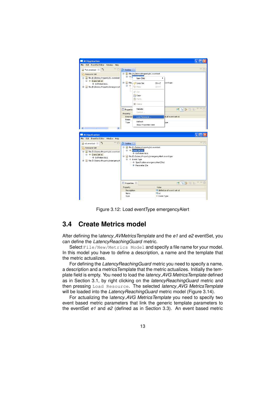

Figure 3.12: Load eventType emergencyAlert

#### **3.4 Create Metrics model**

After defining the l*atency AVMetricsTemplate* and the *e1* and *e2* eventSet, you can define the *LatencyReachingGuard* metric.

Select File/New/Metrics Model and specify a file name for your model. In this model you have to define a description, a name and the template that the metric actualizes.

For defining the *LatencyReachingGuard* metric you need to specify a name, a description and a metricsTemplate that the metric actualizes. Initially the template field is empty. You need to load the *latency AVG MetricsTemplate* defined as in Section 3.1, by right clicking on the *latencyReachingGuard* metric and then pressing Load Resource. The selected *latency AVG MetricsTemplate* will be loaded into the *LatencyReachingGuard* metric model (Figure 3.14).

For actualizing the l*atency AVG MetricsTemplate* you need to specify two event based metric parameters that link the generic template parameters to the eventSet *e1* and *e2* (defined as in Section 3.3). An event based metric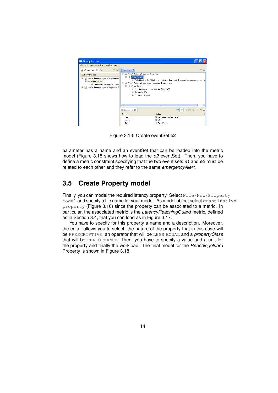

Figure 3.13: Create eventSet e2

parameter has a name and an eventSet that can be loaded into the metric model (Figure 3.15 shows how to load the *e2* eventSet). Then, you have to define a metric constraint specifying that the two event sets *e1* and *e2* must be related to each other and they refer to the same *emergencyAlert*.

#### **3.5 Create Property model**

Finally, you can model the required latency property. Select File/New/Property Model and specify a file name for your model. As model object select quantitative property (Figure 3.16) since the property can be associated to a metric. In particular, the associated metric is the *LatencyReachingGuard* metric, defined as in Section 3.4, that you can load as in Figure 3.17.

You have to specify for this property a name and a description. Moreover, the editor allows you to select: the nature of the property that in this case will be PRESCRIPTIVE, an operator that will be LESS EQUAL and a *propertyClass* that will be PERFORMANCE. Then, you have to specify a value and a unit for the property and finally the workload. The final model for the *ReachingGuard* Property is shown in Figure 3.18.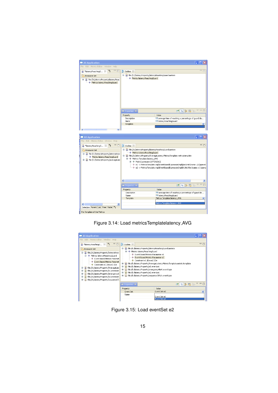

Figure 3.14: Load metricsTemplatelatency AVG

| All Application                                                                                                                                                                                                                                                                                                                                                                                                             |                                                                                                                                                                                                                                                                                                                                                                                                                                        |                                                                        |  |  |  |  |  |
|-----------------------------------------------------------------------------------------------------------------------------------------------------------------------------------------------------------------------------------------------------------------------------------------------------------------------------------------------------------------------------------------------------------------------------|----------------------------------------------------------------------------------------------------------------------------------------------------------------------------------------------------------------------------------------------------------------------------------------------------------------------------------------------------------------------------------------------------------------------------------------|------------------------------------------------------------------------|--|--|--|--|--|
| Edit Metrics Editor Window Help<br>File                                                                                                                                                                                                                                                                                                                                                                                     |                                                                                                                                                                                                                                                                                                                                                                                                                                        |                                                                        |  |  |  |  |  |
| $= 5$<br>$v_{\rm s}$<br>*latencyReachingG 23<br>Q                                                                                                                                                                                                                                                                                                                                                                           | $rac{m}{n^2}$ Outline $23$                                                                                                                                                                                                                                                                                                                                                                                                             | $\qquad \qquad \Box$                                                   |  |  |  |  |  |
| թ<br>Resource Set<br>File:/D:/latencyProperty/latencyReac<br>e<br>E - ◆ Metrics latencyReachingGuard<br>Event Based Metrics Paramet<br>Event Based Metrics Paramet<br>← Constraint e1.IDe=e2.IDe<br>file:/D:/latencyProperty/AverageLate<br>Œ<br>file:/D:/latencyProperty/e1.eventset<br>÷<br>File:/D:/latencyProperty/emergencyA<br>Ŧ<br>file:/D:/latencyProperty/e2.eventset<br>Œ<br>file:/D:/latencyProperty/sequenceOf. | file:/D:/latencyProperty/latencyReachingGuard.metrics<br><b>E</b> $\rightarrow$ Metrics latencyReachingGuard<br>Event Based Metrics Parameter e1<br>Event Based Metrics Parameter e2<br>← Constraint e1.IDe=e2.IDe<br>œ.<br>file:/D:/latencyProperty/e1.eventset<br>÷<br>÷<br>file:/D:/latencyProperty/emergencyAlert.eventtype<br>由<br>file:/D:/latencyProperty/e2.eventset<br>Ėŀ<br>File:/D:/latencyProperty/sequenceOfAck.eventtype | file:/D:/latencyProperty/AverageLatencyMetricsTemplate.metricstemplate |  |  |  |  |  |
|                                                                                                                                                                                                                                                                                                                                                                                                                             | <b>E</b> Properties X                                                                                                                                                                                                                                                                                                                                                                                                                  | ■ 日本國 国 マロロ                                                            |  |  |  |  |  |
|                                                                                                                                                                                                                                                                                                                                                                                                                             | Property                                                                                                                                                                                                                                                                                                                                                                                                                               | Value                                                                  |  |  |  |  |  |
|                                                                                                                                                                                                                                                                                                                                                                                                                             | <b>Event Set</b>                                                                                                                                                                                                                                                                                                                                                                                                                       | Event Set e2<br>$\checkmark$                                           |  |  |  |  |  |
|                                                                                                                                                                                                                                                                                                                                                                                                                             | Name                                                                                                                                                                                                                                                                                                                                                                                                                                   | Event Set e1                                                           |  |  |  |  |  |
|                                                                                                                                                                                                                                                                                                                                                                                                                             |                                                                                                                                                                                                                                                                                                                                                                                                                                        | Event Set e2                                                           |  |  |  |  |  |

Figure 3.15: Load eventSet e2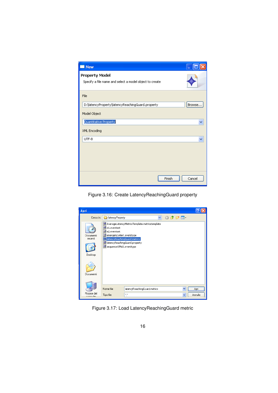| I New                                                                            |        |
|----------------------------------------------------------------------------------|--------|
| <b>Property Model</b><br>Specify a file name and select a model object to create |        |
| File                                                                             |        |
| D:\latencyProperty\latencyReachingGuard.property                                 | Browse |
| Model Object                                                                     |        |
| Quantitative Property                                                            | v      |
| XML Encoding                                                                     |        |
| UTF-8                                                                            | v      |
|                                                                                  |        |
|                                                                                  |        |
|                                                                                  |        |
| Finish                                                                           | Cancel |

Figure 3.16: Create LatencyReachingGuard property

| Apri                            |                                                                                                                                                                                                                     |         |
|---------------------------------|---------------------------------------------------------------------------------------------------------------------------------------------------------------------------------------------------------------------|---------|
| Cerca in:                       | $0$ $0$ $0$ $\rightarrow$ $\mathbb{R}$<br>latencyProperty<br>v                                                                                                                                                      |         |
| Documenti<br>recenti<br>Desktop | AverageLatencyMetricsTemplate.metricstemplate<br>in.<br>e1.eventset<br>lo2.eventset<br>emergencyAlert.eventtype<br>allatencyReachingGuard.metrics<br>did latency Reaching Guard.property<br>sequenceOfAck.eventtype |         |
| Documenti                       |                                                                                                                                                                                                                     |         |
|                                 | Nome file:<br>latencyReachingGuard.metrics                                                                                                                                                                          | Apri    |
| Risorse del<br>computer         | Tipo file:<br>$\times$ $\times$<br>×                                                                                                                                                                                | Annulla |

Figure 3.17: Load LatencyReachingGuard metric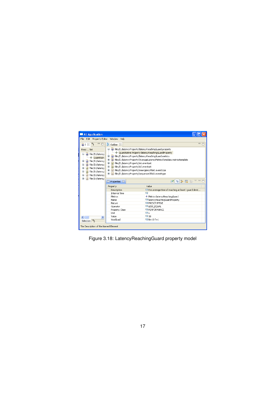

Figure 3.18: LatencyReachingGuard property model